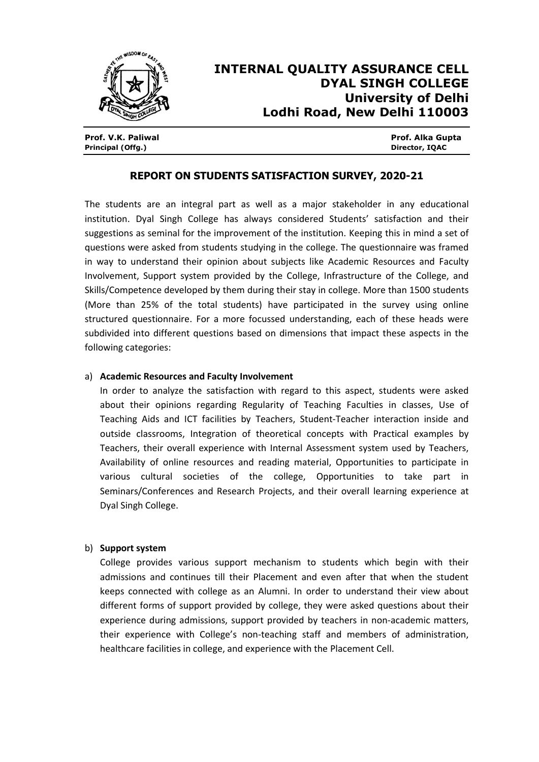

|                   | Prof. V.K. Paliwal |
|-------------------|--------------------|
| Principal (Offg.) |                    |

**Prof. Alka Gupta Pirector, IOAC** 

# **REPORT ON STUDENTS SATISFACTION SURVEY, 2020-21**

The students are an integral part as well as a major stakeholder in any educational institution. Dyal Singh College has always considered Students' satisfaction and their suggestions as seminal for the improvement of the institution. Keeping this in mind a set of questions were asked from students studying in the college. The questionnaire was framed in way to understand their opinion about subjects like Academic Resources and Faculty Involvement, Support system provided by the College, Infrastructure of the College, and Skills/Competence developed by them during their stay in college. More than 1500 students (More than 25% of the total students) have participated in the survey using online structured questionnaire. For a more focussed understanding, each of these heads were subdivided into different questions based on dimensions that impact these aspects in the following categories:

## a) **Academic Resources and Faculty Involvement**

In order to analyze the satisfaction with regard to this aspect, students were asked about their opinions regarding Regularity of Teaching Faculties in classes, Use of Teaching Aids and ICT facilities by Teachers, Student-Teacher interaction inside and outside classrooms, Integration of theoretical concepts with Practical examples by Teachers, their overall experience with Internal Assessment system used by Teachers, Availability of online resources and reading material, Opportunities to participate in various cultural societies of the college, Opportunities to take part in Seminars/Conferences and Research Projects, and their overall learning experience at Dyal Singh College.

## b) **Support system**

College provides various support mechanism to students which begin with their admissions and continues till their Placement and even after that when the student keeps connected with college as an Alumni. In order to understand their view about different forms of support provided by college, they were asked questions about their experience during admissions, support provided by teachers in non-academic matters, their experience with College's non-teaching staff and members of administration, healthcare facilities in college, and experience with the Placement Cell.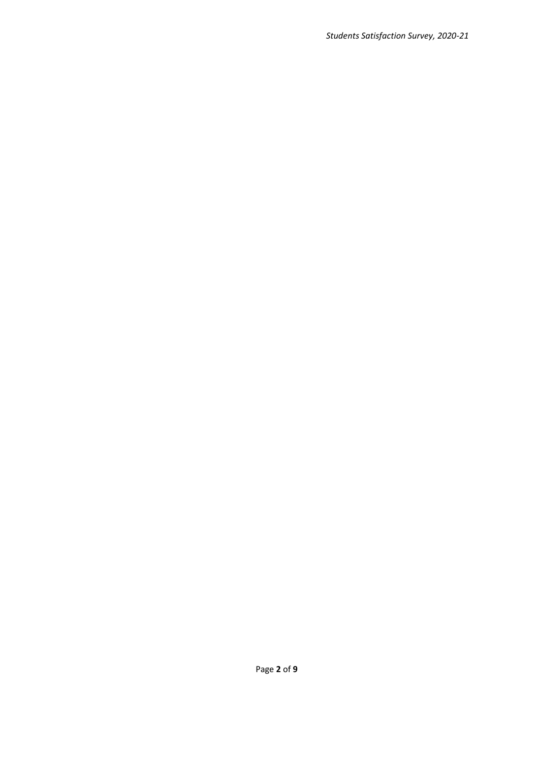*Students Satisfaction Survey, 2020-21*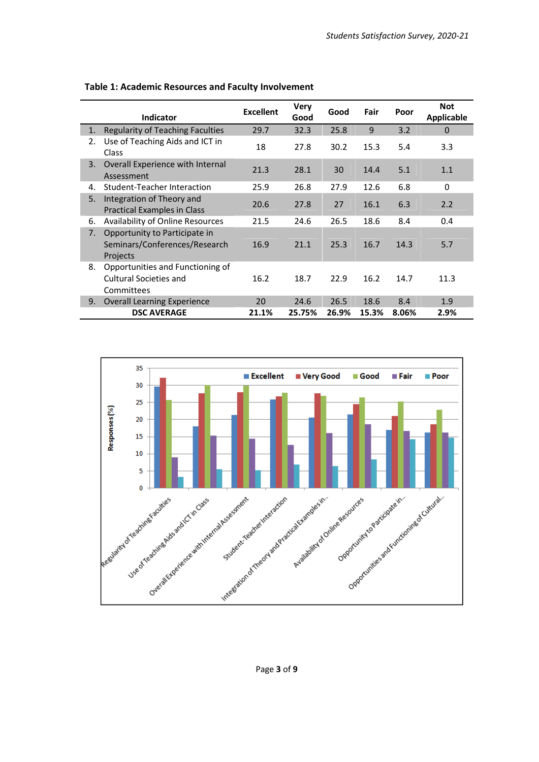|    | Indicator                                                                       | <b>Excellent</b> | Very<br>Good | Good  | Fair  | Poor  | <b>Not</b><br><b>Applicable</b> |
|----|---------------------------------------------------------------------------------|------------------|--------------|-------|-------|-------|---------------------------------|
| 1. | <b>Regularity of Teaching Faculties</b>                                         | 29.7             | 32.3         | 25.8  | 9     | 3.2   | $\Omega$                        |
| 2. | Use of Teaching Aids and ICT in<br>Class                                        | 18               | 27.8         | 30.2  | 15.3  | 5.4   | 3.3                             |
| 3. | Overall Experience with Internal<br>Assessment                                  | 21.3             | 28.1         | 30    | 14.4  | 5.1   | 1.1                             |
| 4. | Student-Teacher Interaction                                                     | 25.9             | 26.8         | 27.9  | 12.6  | 6.8   | 0                               |
| 5. | Integration of Theory and<br><b>Practical Examples in Class</b>                 | 20.6             | 27.8         | 27    | 16.1  | 6.3   | 2.2                             |
| 6. | Availability of Online Resources                                                | 21.5             | 24.6         | 26.5  | 18.6  | 8.4   | 0.4                             |
| 7. | Opportunity to Participate in<br>Seminars/Conferences/Research<br>Projects      | 16.9             | 21.1         | 25.3  | 16.7  | 14.3  | 5.7                             |
| 8. | Opportunities and Functioning of<br><b>Cultural Societies and</b><br>Committees | 16.2             | 18.7         | 22.9  | 16.2  | 14.7  | 11.3                            |
| 9. | <b>Overall Learning Experience</b>                                              | 20               | 24.6         | 26.5  | 18.6  | 8.4   | 1.9                             |
|    | <b>DSC AVERAGE</b>                                                              | 21.1%            | 25.75%       | 26.9% | 15.3% | 8.06% | 2.9%                            |

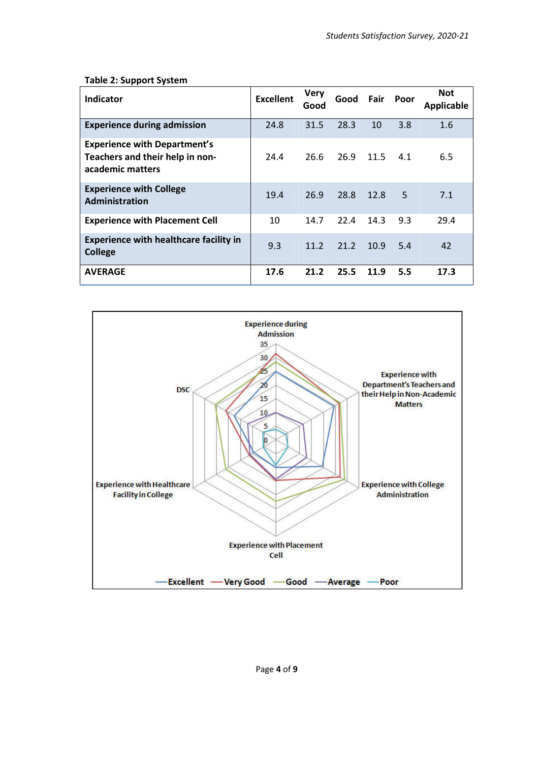| <b>Indicator</b>                                                                           | <b>Excellent</b> | Verv<br>Good | Good | Fair | Poor | <b>Not</b><br><b>Applicable</b> |
|--------------------------------------------------------------------------------------------|------------------|--------------|------|------|------|---------------------------------|
| <b>Experience during admission</b>                                                         | 24.8             | 31.5         | 28.3 | 10   | 3.8  | 1.6                             |
| <b>Experience with Department's</b><br>Teachers and their help in non-<br>academic matters | 24.4             | 26.6         | 26.9 | 11.5 | 4.1  | 6.5                             |
| <b>Experience with College</b><br><b>Administration</b>                                    | 19.4             | 26.9         | 28.8 | 12.8 | 5    | 7.1                             |
| <b>Experience with Placement Cell</b>                                                      | 10               | 14.7         | 22.4 | 14.3 | 9.3  | 29.4                            |
| <b>Experience with healthcare facility in</b><br><b>College</b>                            | 9.3              | 11.2         | 21.2 | 10.9 | 5.4  | 42                              |
| <b>AVERAGE</b>                                                                             | 17.6             | 21.2         | 25.5 | 11.9 | 5.5  | 17.3                            |

#### **Table 2: Support System**

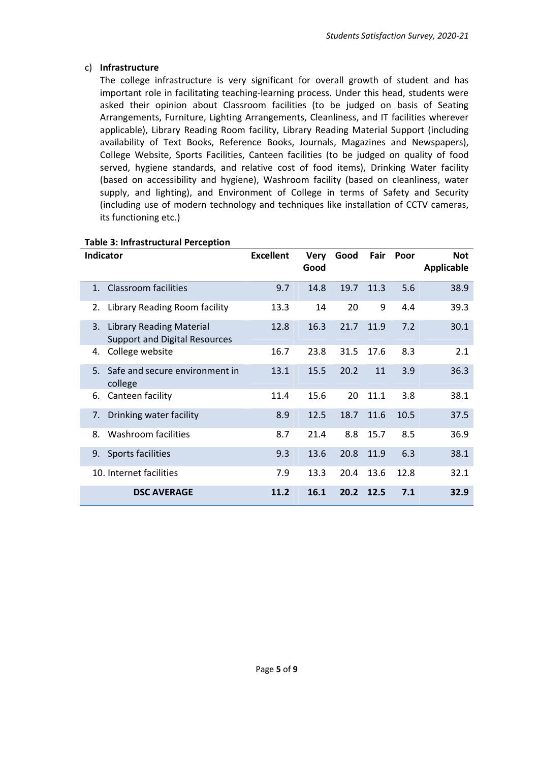# c) **Infrastructure**

The college infrastructure is very significant for overall growth of student and has important role in facilitating teaching-learning process. Under this head, students were asked their opinion about Classroom facilities (to be judged on basis of Seating Arrangements, Furniture, Lighting Arrangements, Cleanliness, and IT facilities wherever applicable), Library Reading Room facility, Library Reading Material Support (including availability of Text Books, Reference Books, Journals, Magazines and Newspapers), College Website, Sports Facilities, Canteen facilities (to be judged on quality of food served, hygiene standards, and relative cost of food items), Drinking Water facility (based on accessibility and hygiene), Washroom facility (based on cleanliness, water supply, and lighting), and Environment of College in terms of Safety and Security (including use of modern technology and techniques like installation of CCTV cameras, its functioning etc.)

| Indicator |                                                                         | <b>Excellent</b> | <b>Very</b><br>Good | Good | Fair | Poor | <b>Not</b><br><b>Applicable</b> |
|-----------|-------------------------------------------------------------------------|------------------|---------------------|------|------|------|---------------------------------|
| 1.        | Classroom facilities                                                    | 9.7              | 14.8                | 19.7 | 11.3 | 5.6  | 38.9                            |
| 2.        | Library Reading Room facility                                           | 13.3             | 14                  | 20   | 9    | 4.4  | 39.3                            |
| 3.        | <b>Library Reading Material</b><br><b>Support and Digital Resources</b> | 12.8             | 16.3                | 21.7 | 11.9 | 7.2  | 30.1                            |
| 4.        | College website                                                         | 16.7             | 23.8                | 31.5 | 17.6 | 8.3  | 2.1                             |
| 5.        | Safe and secure environment in<br>college                               | 13.1             | 15.5                | 20.2 | 11   | 3.9  | 36.3                            |
| 6.        | Canteen facility                                                        | 11.4             | 15.6                | 20   | 11.1 | 3.8  | 38.1                            |
| 7.        | Drinking water facility                                                 | 8.9              | 12.5                | 18.7 | 11.6 | 10.5 | 37.5                            |
| 8.        | Washroom facilities                                                     | 8.7              | 21.4                | 8.8  | 15.7 | 8.5  | 36.9                            |
| 9.        | Sports facilities                                                       | 9.3              | 13.6                | 20.8 | 11.9 | 6.3  | 38.1                            |
|           | 10. Internet facilities                                                 | 7.9              | 13.3                | 20.4 | 13.6 | 12.8 | 32.1                            |
|           | <b>DSC AVERAGE</b>                                                      | 11.2             | 16.1                | 20.2 | 12.5 | 7.1  | 32.9                            |

## **Table 3: Infrastructural Perception**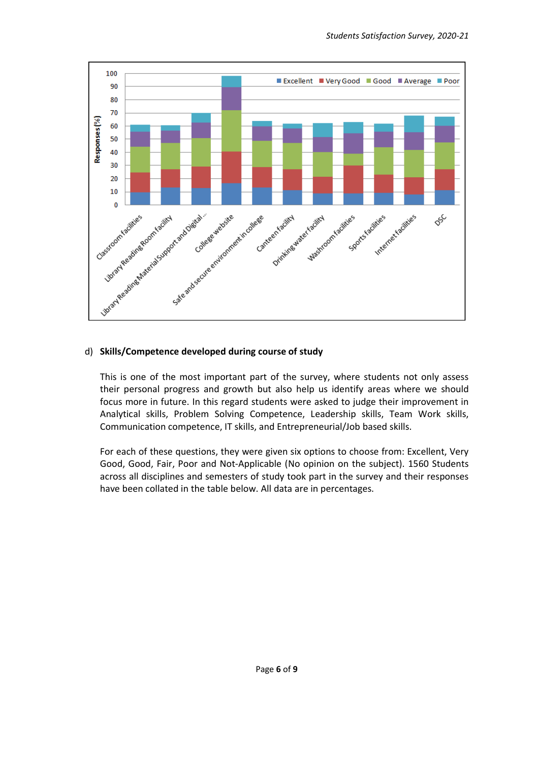

# d) **Skills/Competence developed during course of study**

This is one of the most important part of the survey, where students not only assess their personal progress and growth but also help us identify areas where we should focus more in future. In this regard students were asked to judge their improvement in Analytical skills, Problem Solving Competence, Leadership skills, Team Work skills, Communication competence, IT skills, and Entrepreneurial/Job based skills.

For each of these questions, they were given six options to choose from: Excellent, Very Good, Good, Fair, Poor and Not-Applicable (No opinion on the subject). 1560 Students across all disciplines and semesters of study took part in the survey and their responses have been collated in the table below. All data are in percentages.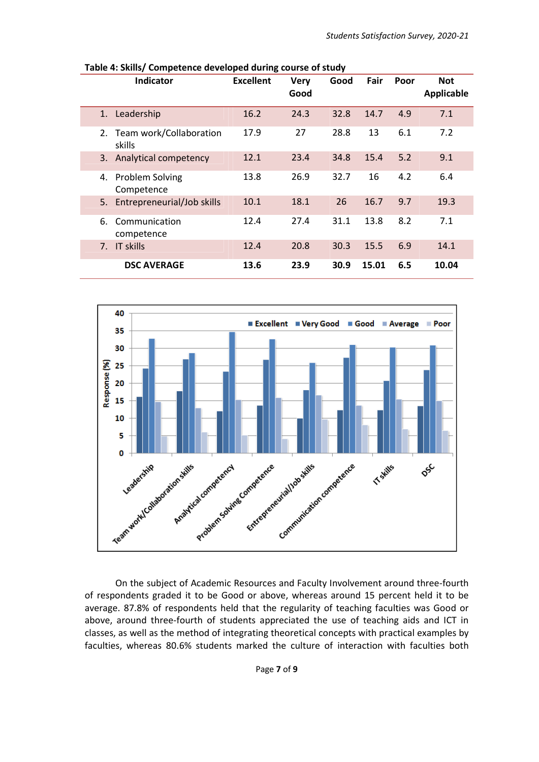| $1800 - 11000 - 10000 - 10000 - 10000 - 10000 - 10000 - 10000 - 10000 - 10000 - 10000 - 10000 - 10000 - 10000 - 10000 - 10000 - 10000 - 10000 - 10000 - 10000 - 10000 - 10000 - 10000 - 10000 - 10000 - 10000 - 10000 - 10000 - 10000 - 10000 - 10000 - 1000$ |                                      |                  |                     |      |       |      |                                 |  |
|---------------------------------------------------------------------------------------------------------------------------------------------------------------------------------------------------------------------------------------------------------------|--------------------------------------|------------------|---------------------|------|-------|------|---------------------------------|--|
|                                                                                                                                                                                                                                                               | <b>Indicator</b>                     | <b>Excellent</b> | <b>Very</b><br>Good | Good | Fair  | Poor | <b>Not</b><br><b>Applicable</b> |  |
|                                                                                                                                                                                                                                                               | 1. Leadership                        | 16.2             | 24.3                | 32.8 | 14.7  | 4.9  | 7.1                             |  |
|                                                                                                                                                                                                                                                               | 2. Team work/Collaboration<br>skills | 17.9             | 27                  | 28.8 | 13    | 6.1  | 7.2                             |  |
| 3.                                                                                                                                                                                                                                                            | Analytical competency                | 12.1             | 23.4                | 34.8 | 15.4  | 5.2  | 9.1                             |  |
| 4.                                                                                                                                                                                                                                                            | <b>Problem Solving</b><br>Competence | 13.8             | 26.9                | 32.7 | 16    | 4.2  | 6.4                             |  |
| 5.                                                                                                                                                                                                                                                            | Entrepreneurial/Job skills           | 10.1             | 18.1                | 26   | 16.7  | 9.7  | 19.3                            |  |
| 6.                                                                                                                                                                                                                                                            | Communication<br>competence          | 12.4             | 27.4                | 31.1 | 13.8  | 8.2  | 7.1                             |  |
| 7.                                                                                                                                                                                                                                                            | <b>IT skills</b>                     | 12.4             | 20.8                | 30.3 | 15.5  | 6.9  | 14.1                            |  |
|                                                                                                                                                                                                                                                               | <b>DSC AVERAGE</b>                   | 13.6             | 23.9                | 30.9 | 15.01 | 6.5  | 10.04                           |  |

**Table 4: Skills/ Competence developed during course of study**



On the subject of Academic Resources and Faculty Involvement around three-fourth of respondents graded it to be Good or above, whereas around 15 percent held it to be average. 87.8% of respondents held that the regularity of teaching faculties was Good or above, around three-fourth of students appreciated the use of teaching aids and ICT in classes, as well as the method of integrating theoretical concepts with practical examples by faculties, whereas 80.6% students marked the culture of interaction with faculties both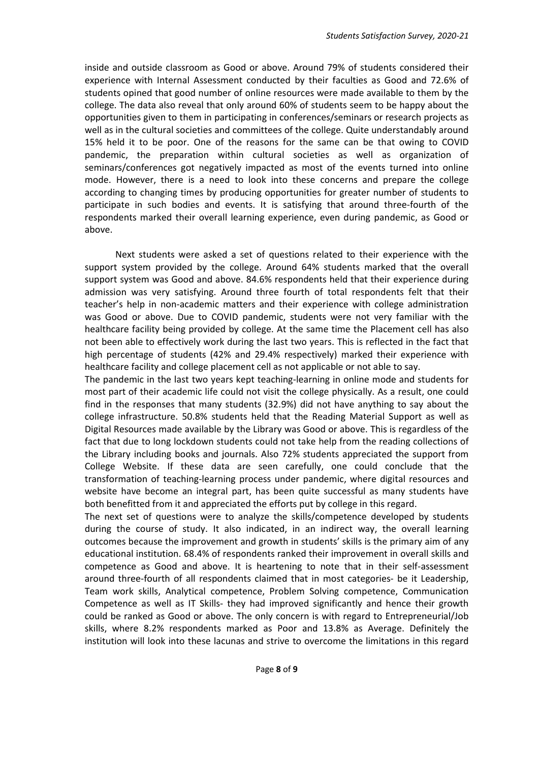inside and outside classroom as Good or above. Around 79% of students considered their experience with Internal Assessment conducted by their faculties as Good and 72.6% of students opined that good number of online resources were made available to them by the college. The data also reveal that only around 60% of students seem to be happy about the opportunities given to them in participating in conferences/seminars or research projects as well as in the cultural societies and committees of the college. Quite understandably around 15% held it to be poor. One of the reasons for the same can be that owing to COVID pandemic, the preparation within cultural societies as well as organization of seminars/conferences got negatively impacted as most of the events turned into online mode. However, there is a need to look into these concerns and prepare the college according to changing times by producing opportunities for greater number of students to participate in such bodies and events. It is satisfying that around three-fourth of the respondents marked their overall learning experience, even during pandemic, as Good or above.

Next students were asked a set of questions related to their experience with the support system provided by the college. Around 64% students marked that the overall support system was Good and above. 84.6% respondents held that their experience during admission was very satisfying. Around three fourth of total respondents felt that their teacher's help in non-academic matters and their experience with college administration was Good or above. Due to COVID pandemic, students were not very familiar with the healthcare facility being provided by college. At the same time the Placement cell has also not been able to effectively work during the last two years. This is reflected in the fact that high percentage of students (42% and 29.4% respectively) marked their experience with healthcare facility and college placement cell as not applicable or not able to say.

The pandemic in the last two years kept teaching-learning in online mode and students for most part of their academic life could not visit the college physically. As a result, one could find in the responses that many students (32.9%) did not have anything to say about the college infrastructure. 50.8% students held that the Reading Material Support as well as Digital Resources made available by the Library was Good or above. This is regardless of the fact that due to long lockdown students could not take help from the reading collections of the Library including books and journals. Also 72% students appreciated the support from College Website. If these data are seen carefully, one could conclude that the transformation of teaching-learning process under pandemic, where digital resources and website have become an integral part, has been quite successful as many students have both benefitted from it and appreciated the efforts put by college in this regard.

The next set of questions were to analyze the skills/competence developed by students during the course of study. It also indicated, in an indirect way, the overall learning outcomes because the improvement and growth in students' skills is the primary aim of any educational institution. 68.4% of respondents ranked their improvement in overall skills and competence as Good and above. It is heartening to note that in their self-assessment around three-fourth of all respondents claimed that in most categories- be it Leadership, Team work skills, Analytical competence, Problem Solving competence, Communication Competence as well as IT Skills- they had improved significantly and hence their growth could be ranked as Good or above. The only concern is with regard to Entrepreneurial/Job skills, where 8.2% respondents marked as Poor and 13.8% as Average. Definitely the institution will look into these lacunas and strive to overcome the limitations in this regard